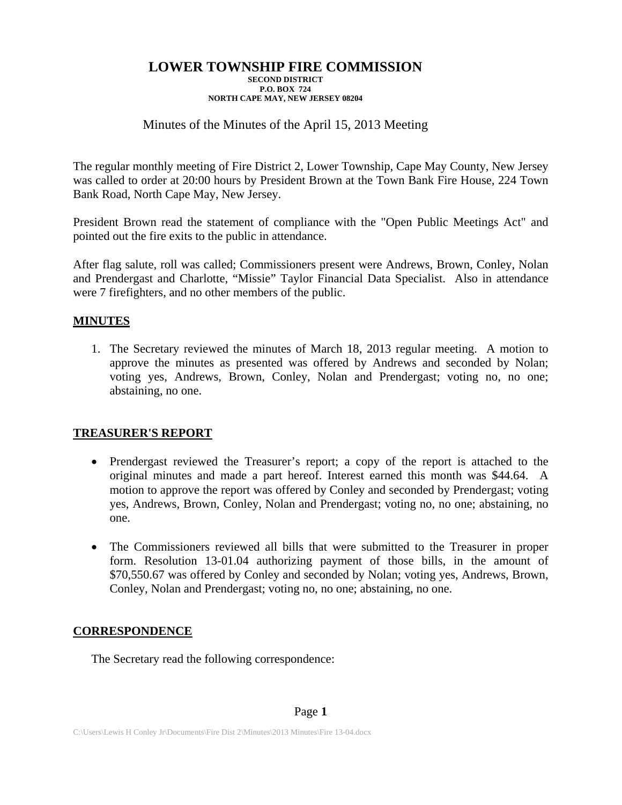# Minutes of the Minutes of the April 15, 2013 Meeting

The regular monthly meeting of Fire District 2, Lower Township, Cape May County, New Jersey was called to order at 20:00 hours by President Brown at the Town Bank Fire House, 224 Town Bank Road, North Cape May, New Jersey.

President Brown read the statement of compliance with the "Open Public Meetings Act" and pointed out the fire exits to the public in attendance.

After flag salute, roll was called; Commissioners present were Andrews, Brown, Conley, Nolan and Prendergast and Charlotte, "Missie" Taylor Financial Data Specialist. Also in attendance were 7 firefighters, and no other members of the public.

## **MINUTES**

1. The Secretary reviewed the minutes of March 18, 2013 regular meeting. A motion to approve the minutes as presented was offered by Andrews and seconded by Nolan; voting yes, Andrews, Brown, Conley, Nolan and Prendergast; voting no, no one; abstaining, no one.

## **TREASURER'S REPORT**

- Prendergast reviewed the Treasurer's report; a copy of the report is attached to the original minutes and made a part hereof. Interest earned this month was \$44.64. A motion to approve the report was offered by Conley and seconded by Prendergast; voting yes, Andrews, Brown, Conley, Nolan and Prendergast; voting no, no one; abstaining, no one.
- The Commissioners reviewed all bills that were submitted to the Treasurer in proper form. Resolution 13-01.04 authorizing payment of those bills, in the amount of \$70,550.67 was offered by Conley and seconded by Nolan; voting yes, Andrews, Brown, Conley, Nolan and Prendergast; voting no, no one; abstaining, no one.

# **CORRESPONDENCE**

The Secretary read the following correspondence: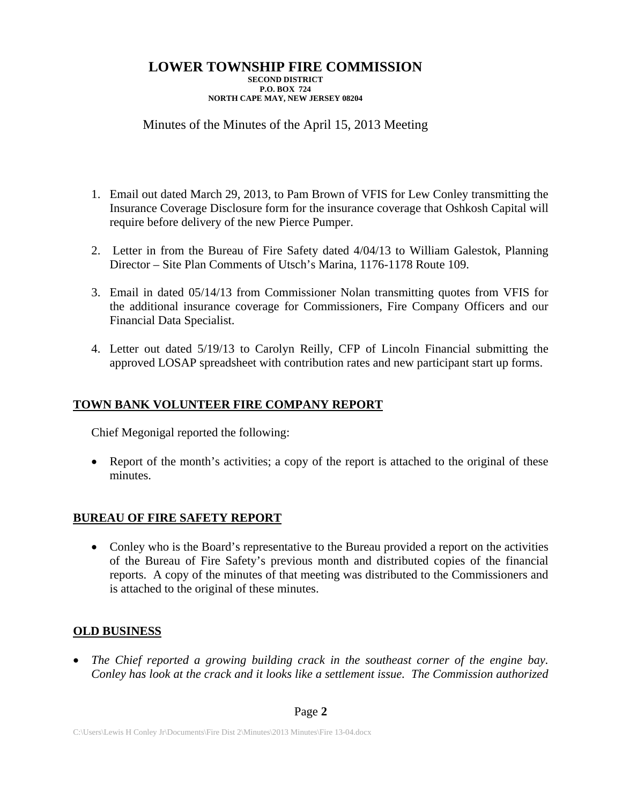# Minutes of the Minutes of the April 15, 2013 Meeting

- 1. Email out dated March 29, 2013, to Pam Brown of VFIS for Lew Conley transmitting the Insurance Coverage Disclosure form for the insurance coverage that Oshkosh Capital will require before delivery of the new Pierce Pumper.
- 2. Letter in from the Bureau of Fire Safety dated 4/04/13 to William Galestok, Planning Director – Site Plan Comments of Utsch's Marina, 1176-1178 Route 109.
- 3. Email in dated 05/14/13 from Commissioner Nolan transmitting quotes from VFIS for the additional insurance coverage for Commissioners, Fire Company Officers and our Financial Data Specialist.
- 4. Letter out dated 5/19/13 to Carolyn Reilly, CFP of Lincoln Financial submitting the approved LOSAP spreadsheet with contribution rates and new participant start up forms.

# **TOWN BANK VOLUNTEER FIRE COMPANY REPORT**

Chief Megonigal reported the following:

• Report of the month's activities; a copy of the report is attached to the original of these minutes.

# **BUREAU OF FIRE SAFETY REPORT**

 Conley who is the Board's representative to the Bureau provided a report on the activities of the Bureau of Fire Safety's previous month and distributed copies of the financial reports. A copy of the minutes of that meeting was distributed to the Commissioners and is attached to the original of these minutes.

# **OLD BUSINESS**

 *The Chief reported a growing building crack in the southeast corner of the engine bay. Conley has look at the crack and it looks like a settlement issue. The Commission authorized*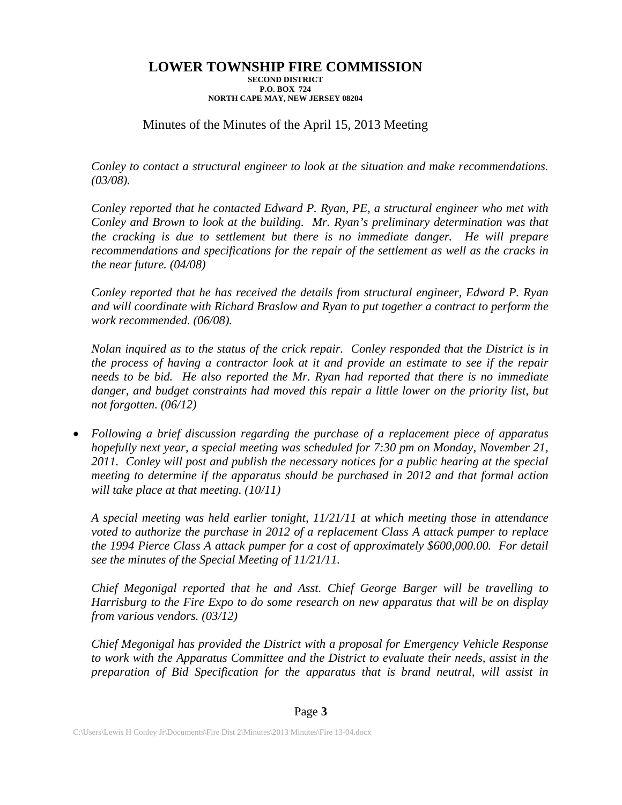# Minutes of the Minutes of the April 15, 2013 Meeting

*Conley to contact a structural engineer to look at the situation and make recommendations. (03/08).* 

*Conley reported that he contacted Edward P. Ryan, PE, a structural engineer who met with Conley and Brown to look at the building. Mr. Ryan's preliminary determination was that the cracking is due to settlement but there is no immediate danger. He will prepare recommendations and specifications for the repair of the settlement as well as the cracks in the near future. (04/08)* 

*Conley reported that he has received the details from structural engineer, Edward P. Ryan and will coordinate with Richard Braslow and Ryan to put together a contract to perform the work recommended. (06/08).* 

*Nolan inquired as to the status of the crick repair. Conley responded that the District is in the process of having a contractor look at it and provide an estimate to see if the repair needs to be bid. He also reported the Mr. Ryan had reported that there is no immediate*  danger, and budget constraints had moved this repair a little lower on the priority list, but *not forgotten. (06/12)* 

 *Following a brief discussion regarding the purchase of a replacement piece of apparatus hopefully next year, a special meeting was scheduled for 7:30 pm on Monday, November 21, 2011. Conley will post and publish the necessary notices for a public hearing at the special meeting to determine if the apparatus should be purchased in 2012 and that formal action will take place at that meeting. (10/11)* 

*A special meeting was held earlier tonight, 11/21/11 at which meeting those in attendance voted to authorize the purchase in 2012 of a replacement Class A attack pumper to replace the 1994 Pierce Class A attack pumper for a cost of approximately \$600,000.00. For detail see the minutes of the Special Meeting of 11/21/11.* 

*Chief Megonigal reported that he and Asst. Chief George Barger will be travelling to Harrisburg to the Fire Expo to do some research on new apparatus that will be on display from various vendors. (03/12)* 

*Chief Megonigal has provided the District with a proposal for Emergency Vehicle Response to work with the Apparatus Committee and the District to evaluate their needs, assist in the preparation of Bid Specification for the apparatus that is brand neutral, will assist in*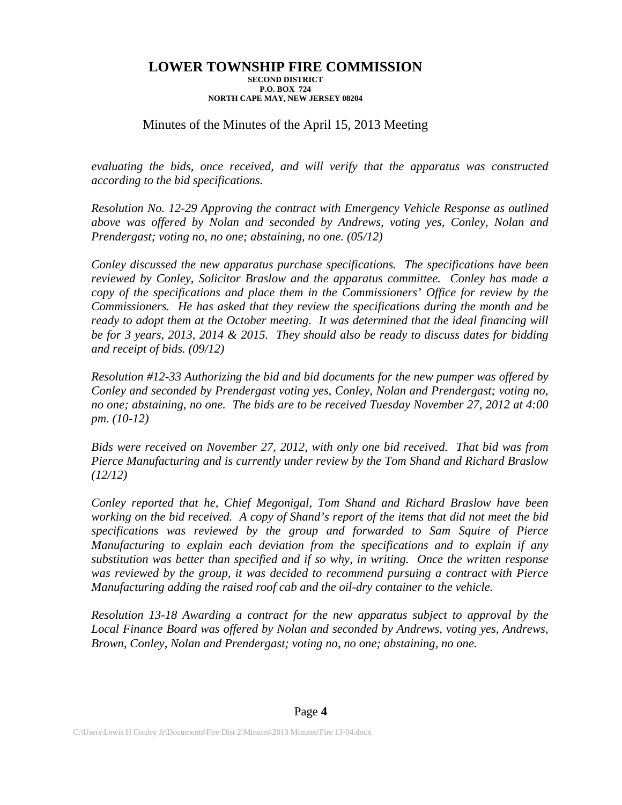## Minutes of the Minutes of the April 15, 2013 Meeting

*evaluating the bids, once received, and will verify that the apparatus was constructed according to the bid specifications.* 

*Resolution No. 12-29 Approving the contract with Emergency Vehicle Response as outlined above was offered by Nolan and seconded by Andrews, voting yes, Conley, Nolan and Prendergast; voting no, no one; abstaining, no one. (05/12)* 

*Conley discussed the new apparatus purchase specifications. The specifications have been reviewed by Conley, Solicitor Braslow and the apparatus committee. Conley has made a copy of the specifications and place them in the Commissioners' Office for review by the Commissioners. He has asked that they review the specifications during the month and be*  ready to adopt them at the October meeting. It was determined that the ideal financing will *be for 3 years, 2013, 2014 & 2015. They should also be ready to discuss dates for bidding and receipt of bids. (09/12)* 

*Resolution #12-33 Authorizing the bid and bid documents for the new pumper was offered by Conley and seconded by Prendergast voting yes, Conley, Nolan and Prendergast; voting no, no one; abstaining, no one. The bids are to be received Tuesday November 27, 2012 at 4:00 pm. (10-12)* 

*Bids were received on November 27, 2012, with only one bid received. That bid was from Pierce Manufacturing and is currently under review by the Tom Shand and Richard Braslow (12/12)* 

*Conley reported that he, Chief Megonigal, Tom Shand and Richard Braslow have been working on the bid received. A copy of Shand's report of the items that did not meet the bid specifications was reviewed by the group and forwarded to Sam Squire of Pierce Manufacturing to explain each deviation from the specifications and to explain if any substitution was better than specified and if so why, in writing. Once the written response was reviewed by the group, it was decided to recommend pursuing a contract with Pierce Manufacturing adding the raised roof cab and the oil-dry container to the vehicle.* 

*Resolution 13-18 Awarding a contract for the new apparatus subject to approval by the Local Finance Board was offered by Nolan and seconded by Andrews, voting yes, Andrews, Brown, Conley, Nolan and Prendergast; voting no, no one; abstaining, no one.*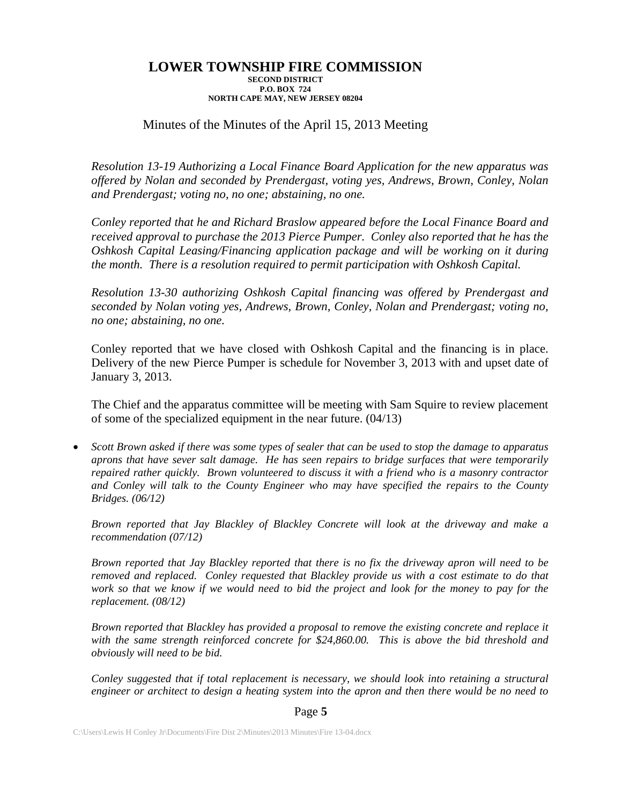## Minutes of the Minutes of the April 15, 2013 Meeting

*Resolution 13-19 Authorizing a Local Finance Board Application for the new apparatus was offered by Nolan and seconded by Prendergast, voting yes, Andrews, Brown, Conley, Nolan and Prendergast; voting no, no one; abstaining, no one.* 

*Conley reported that he and Richard Braslow appeared before the Local Finance Board and received approval to purchase the 2013 Pierce Pumper. Conley also reported that he has the Oshkosh Capital Leasing/Financing application package and will be working on it during the month. There is a resolution required to permit participation with Oshkosh Capital.* 

*Resolution 13-30 authorizing Oshkosh Capital financing was offered by Prendergast and seconded by Nolan voting yes, Andrews, Brown, Conley, Nolan and Prendergast; voting no, no one; abstaining, no one.* 

Conley reported that we have closed with Oshkosh Capital and the financing is in place. Delivery of the new Pierce Pumper is schedule for November 3, 2013 with and upset date of January 3, 2013.

The Chief and the apparatus committee will be meeting with Sam Squire to review placement of some of the specialized equipment in the near future. (04/13)

 *Scott Brown asked if there was some types of sealer that can be used to stop the damage to apparatus aprons that have sever salt damage. He has seen repairs to bridge surfaces that were temporarily repaired rather quickly. Brown volunteered to discuss it with a friend who is a masonry contractor and Conley will talk to the County Engineer who may have specified the repairs to the County Bridges. (06/12)* 

*Brown reported that Jay Blackley of Blackley Concrete will look at the driveway and make a recommendation (07/12)* 

*Brown reported that Jay Blackley reported that there is no fix the driveway apron will need to be removed and replaced. Conley requested that Blackley provide us with a cost estimate to do that work so that we know if we would need to bid the project and look for the money to pay for the replacement. (08/12)* 

*Brown reported that Blackley has provided a proposal to remove the existing concrete and replace it with the same strength reinforced concrete for \$24,860.00. This is above the bid threshold and obviously will need to be bid.* 

*Conley suggested that if total replacement is necessary, we should look into retaining a structural engineer or architect to design a heating system into the apron and then there would be no need to* 

### Page **5**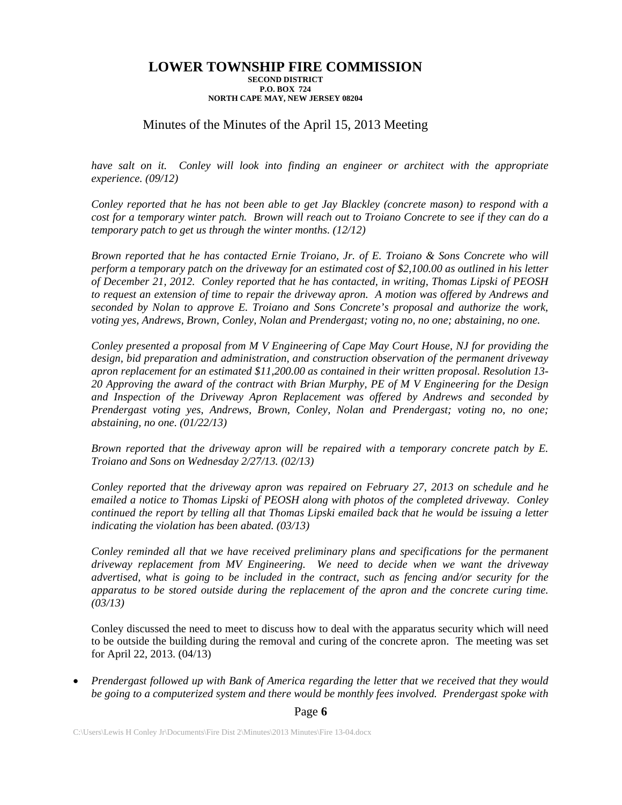## Minutes of the Minutes of the April 15, 2013 Meeting

*have salt on it. Conley will look into finding an engineer or architect with the appropriate experience. (09/12)* 

*Conley reported that he has not been able to get Jay Blackley (concrete mason) to respond with a cost for a temporary winter patch. Brown will reach out to Troiano Concrete to see if they can do a temporary patch to get us through the winter months. (12/12)* 

*Brown reported that he has contacted Ernie Troiano, Jr. of E. Troiano & Sons Concrete who will perform a temporary patch on the driveway for an estimated cost of \$2,100.00 as outlined in his letter of December 21, 2012. Conley reported that he has contacted, in writing, Thomas Lipski of PEOSH to request an extension of time to repair the driveway apron. A motion was offered by Andrews and seconded by Nolan to approve E. Troiano and Sons Concrete's proposal and authorize the work, voting yes, Andrews, Brown, Conley, Nolan and Prendergast; voting no, no one; abstaining, no one.* 

*Conley presented a proposal from M V Engineering of Cape May Court House, NJ for providing the design, bid preparation and administration, and construction observation of the permanent driveway apron replacement for an estimated \$11,200.00 as contained in their written proposal. Resolution 13- 20 Approving the award of the contract with Brian Murphy, PE of M V Engineering for the Design and Inspection of the Driveway Apron Replacement was offered by Andrews and seconded by Prendergast voting yes, Andrews, Brown, Conley, Nolan and Prendergast; voting no, no one; abstaining, no one. (01/22/13)* 

*Brown reported that the driveway apron will be repaired with a temporary concrete patch by E. Troiano and Sons on Wednesday 2/27/13. (02/13)* 

*Conley reported that the driveway apron was repaired on February 27, 2013 on schedule and he emailed a notice to Thomas Lipski of PEOSH along with photos of the completed driveway. Conley continued the report by telling all that Thomas Lipski emailed back that he would be issuing a letter indicating the violation has been abated. (03/13)* 

*Conley reminded all that we have received preliminary plans and specifications for the permanent driveway replacement from MV Engineering. We need to decide when we want the driveway advertised, what is going to be included in the contract, such as fencing and/or security for the apparatus to be stored outside during the replacement of the apron and the concrete curing time. (03/13)* 

Conley discussed the need to meet to discuss how to deal with the apparatus security which will need to be outside the building during the removal and curing of the concrete apron. The meeting was set for April 22, 2013. (04/13)

 *Prendergast followed up with Bank of America regarding the letter that we received that they would be going to a computerized system and there would be monthly fees involved. Prendergast spoke with* 

Page **6**

C:\Users\Lewis H Conley Jr\Documents\Fire Dist 2\Minutes\2013 Minutes\Fire 13-04.docx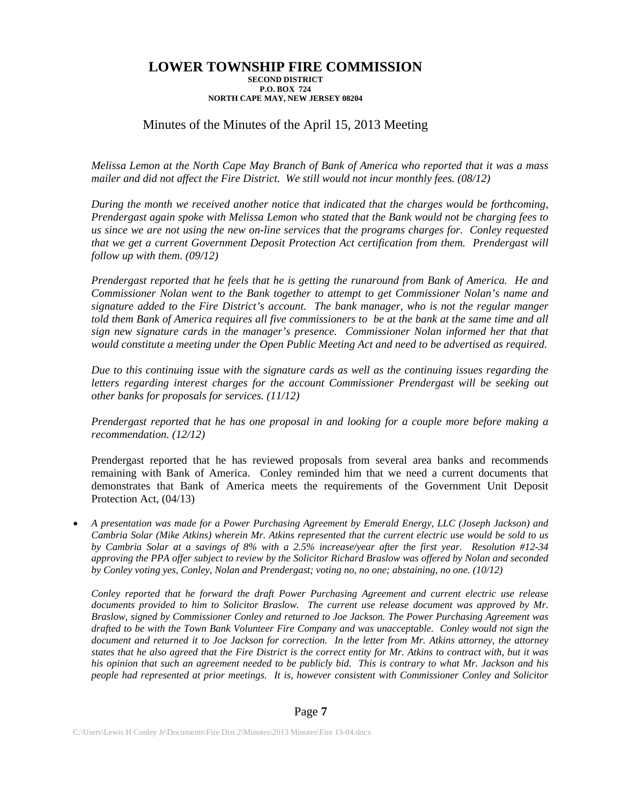## Minutes of the Minutes of the April 15, 2013 Meeting

*Melissa Lemon at the North Cape May Branch of Bank of America who reported that it was a mass*  mailer and did not affect the Fire District. We still would not incur monthly fees. (08/12)

*During the month we received another notice that indicated that the charges would be forthcoming, Prendergast again spoke with Melissa Lemon who stated that the Bank would not be charging fees to us since we are not using the new on-line services that the programs charges for. Conley requested that we get a current Government Deposit Protection Act certification from them. Prendergast will follow up with them. (09/12)* 

*Prendergast reported that he feels that he is getting the runaround from Bank of America. He and Commissioner Nolan went to the Bank together to attempt to get Commissioner Nolan's name and signature added to the Fire District's account. The bank manager, who is not the regular manger told them Bank of America requires all five commissioners to be at the bank at the same time and all sign new signature cards in the manager's presence. Commissioner Nolan informed her that that would constitute a meeting under the Open Public Meeting Act and need to be advertised as required.* 

*Due to this continuing issue with the signature cards as well as the continuing issues regarding the letters regarding interest charges for the account Commissioner Prendergast will be seeking out other banks for proposals for services. (11/12)* 

*Prendergast reported that he has one proposal in and looking for a couple more before making a recommendation. (12/12)* 

Prendergast reported that he has reviewed proposals from several area banks and recommends remaining with Bank of America. Conley reminded him that we need a current documents that demonstrates that Bank of America meets the requirements of the Government Unit Deposit Protection Act, (04/13)

 *A presentation was made for a Power Purchasing Agreement by Emerald Energy, LLC (Joseph Jackson) and Cambria Solar (Mike Atkins) wherein Mr. Atkins represented that the current electric use would be sold to us by Cambria Solar at a savings of 8% with a 2.5% increase/year after the first year. Resolution #12-34 approving the PPA offer subject to review by the Solicitor Richard Braslow was offered by Nolan and seconded by Conley voting yes, Conley, Nolan and Prendergast; voting no, no one; abstaining, no one. (10/12)* 

*Conley reported that he forward the draft Power Purchasing Agreement and current electric use release documents provided to him to Solicitor Braslow. The current use release document was approved by Mr. Braslow, signed by Commissioner Conley and returned to Joe Jackson. The Power Purchasing Agreement was drafted to be with the Town Bank Volunteer Fire Company and was unacceptable. Conley would not sign the*  document and returned it to Joe Jackson for correction. In the letter from Mr. Atkins attorney, the attorney *states that he also agreed that the Fire District is the correct entity for Mr. Atkins to contract with, but it was his opinion that such an agreement needed to be publicly bid. This is contrary to what Mr. Jackson and his people had represented at prior meetings. It is, however consistent with Commissioner Conley and Solicitor*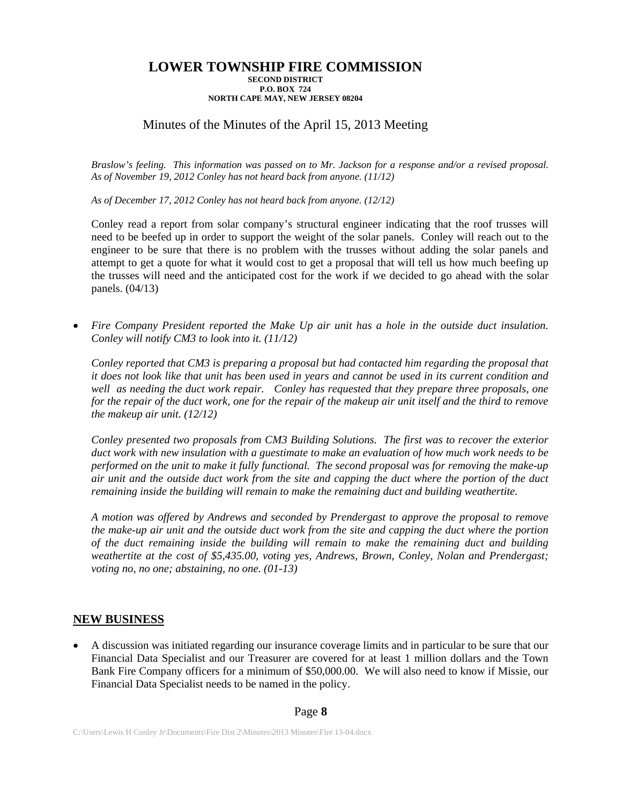# Minutes of the Minutes of the April 15, 2013 Meeting

*Braslow's feeling. This information was passed on to Mr. Jackson for a response and/or a revised proposal. As of November 19, 2012 Conley has not heard back from anyone. (11/12)* 

*As of December 17, 2012 Conley has not heard back from anyone. (12/12)* 

Conley read a report from solar company's structural engineer indicating that the roof trusses will need to be beefed up in order to support the weight of the solar panels. Conley will reach out to the engineer to be sure that there is no problem with the trusses without adding the solar panels and attempt to get a quote for what it would cost to get a proposal that will tell us how much beefing up the trusses will need and the anticipated cost for the work if we decided to go ahead with the solar panels. (04/13)

 *Fire Company President reported the Make Up air unit has a hole in the outside duct insulation. Conley will notify CM3 to look into it. (11/12)* 

*Conley reported that CM3 is preparing a proposal but had contacted him regarding the proposal that it does not look like that unit has been used in years and cannot be used in its current condition and well as needing the duct work repair. Conley has requested that they prepare three proposals, one for the repair of the duct work, one for the repair of the makeup air unit itself and the third to remove the makeup air unit. (12/12)* 

*Conley presented two proposals from CM3 Building Solutions. The first was to recover the exterior duct work with new insulation with a guestimate to make an evaluation of how much work needs to be performed on the unit to make it fully functional. The second proposal was for removing the make-up air unit and the outside duct work from the site and capping the duct where the portion of the duct remaining inside the building will remain to make the remaining duct and building weathertite.* 

*A motion was offered by Andrews and seconded by Prendergast to approve the proposal to remove the make-up air unit and the outside duct work from the site and capping the duct where the portion of the duct remaining inside the building will remain to make the remaining duct and building weathertite at the cost of \$5,435.00, voting yes, Andrews, Brown, Conley, Nolan and Prendergast; voting no, no one; abstaining, no one. (01-13)* 

## **NEW BUSINESS**

 A discussion was initiated regarding our insurance coverage limits and in particular to be sure that our Financial Data Specialist and our Treasurer are covered for at least 1 million dollars and the Town Bank Fire Company officers for a minimum of \$50,000.00. We will also need to know if Missie, our Financial Data Specialist needs to be named in the policy.

### Page **8**